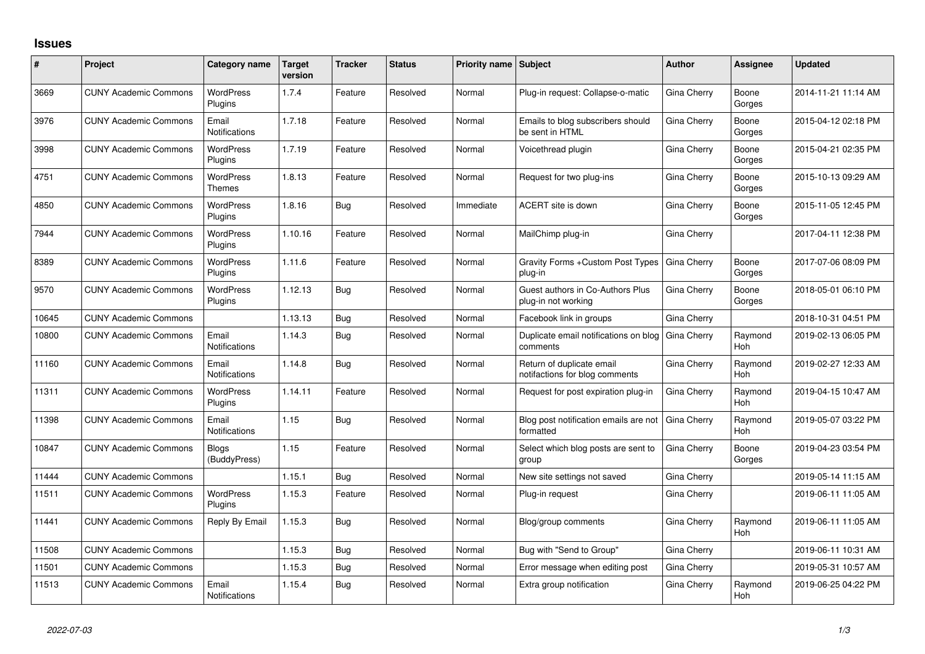## **Issues**

| #     | Project                      | Category name                     | <b>Target</b><br>version | <b>Tracker</b> | <b>Status</b> | Priority name Subject |                                                             | <b>Author</b>      | Assignee              | <b>Updated</b>      |
|-------|------------------------------|-----------------------------------|--------------------------|----------------|---------------|-----------------------|-------------------------------------------------------------|--------------------|-----------------------|---------------------|
| 3669  | <b>CUNY Academic Commons</b> | <b>WordPress</b><br>Plugins       | 1.7.4                    | Feature        | Resolved      | Normal                | Plug-in request: Collapse-o-matic                           | Gina Cherry        | Boone<br>Gorges       | 2014-11-21 11:14 AM |
| 3976  | <b>CUNY Academic Commons</b> | Email<br><b>Notifications</b>     | 1.7.18                   | Feature        | Resolved      | Normal                | Emails to blog subscribers should<br>be sent in HTML        | Gina Cherry        | Boone<br>Gorges       | 2015-04-12 02:18 PM |
| 3998  | <b>CUNY Academic Commons</b> | <b>WordPress</b><br>Plugins       | 1.7.19                   | Feature        | Resolved      | Normal                | Voicethread plugin                                          | Gina Cherry        | Boone<br>Gorges       | 2015-04-21 02:35 PM |
| 4751  | <b>CUNY Academic Commons</b> | <b>WordPress</b><br><b>Themes</b> | 1.8.13                   | Feature        | Resolved      | Normal                | Request for two plug-ins                                    | Gina Cherry        | Boone<br>Gorges       | 2015-10-13 09:29 AM |
| 4850  | <b>CUNY Academic Commons</b> | <b>WordPress</b><br>Plugins       | 1.8.16                   | Bug            | Resolved      | Immediate             | ACERT site is down                                          | Gina Cherry        | Boone<br>Gorges       | 2015-11-05 12:45 PM |
| 7944  | <b>CUNY Academic Commons</b> | <b>WordPress</b><br>Plugins       | 1.10.16                  | Feature        | Resolved      | Normal                | MailChimp plug-in                                           | Gina Cherry        |                       | 2017-04-11 12:38 PM |
| 8389  | <b>CUNY Academic Commons</b> | <b>WordPress</b><br>Plugins       | 1.11.6                   | Feature        | Resolved      | Normal                | Gravity Forms + Custom Post Types<br>plug-in                | Gina Cherry        | Boone<br>Gorges       | 2017-07-06 08:09 PM |
| 9570  | <b>CUNY Academic Commons</b> | <b>WordPress</b><br>Plugins       | 1.12.13                  | Bug            | Resolved      | Normal                | Guest authors in Co-Authors Plus<br>plug-in not working     | Gina Cherry        | Boone<br>Gorges       | 2018-05-01 06:10 PM |
| 10645 | <b>CUNY Academic Commons</b> |                                   | 1.13.13                  | Bug            | Resolved      | Normal                | Facebook link in groups                                     | Gina Cherry        |                       | 2018-10-31 04:51 PM |
| 10800 | <b>CUNY Academic Commons</b> | Email<br><b>Notifications</b>     | 1.14.3                   | Bug            | Resolved      | Normal                | Duplicate email notifications on blog<br>comments           | <b>Gina Cherry</b> | Raymond<br><b>Hoh</b> | 2019-02-13 06:05 PM |
| 11160 | <b>CUNY Academic Commons</b> | Email<br><b>Notifications</b>     | 1.14.8                   | Bug            | Resolved      | Normal                | Return of duplicate email<br>notifactions for blog comments | Gina Cherry        | Raymond<br>Hoh        | 2019-02-27 12:33 AM |
| 11311 | <b>CUNY Academic Commons</b> | <b>WordPress</b><br>Plugins       | 1.14.11                  | Feature        | Resolved      | Normal                | Request for post expiration plug-in                         | Gina Cherry        | Raymond<br>Hoh        | 2019-04-15 10:47 AM |
| 11398 | <b>CUNY Academic Commons</b> | Email<br>Notifications            | 1.15                     | Bug            | Resolved      | Normal                | Blog post notification emails are not<br>formatted          | Gina Cherry        | Raymond<br><b>Hoh</b> | 2019-05-07 03:22 PM |
| 10847 | <b>CUNY Academic Commons</b> | <b>Blogs</b><br>(BuddyPress)      | 1.15                     | Feature        | Resolved      | Normal                | Select which blog posts are sent to<br>group                | Gina Cherry        | Boone<br>Gorges       | 2019-04-23 03:54 PM |
| 11444 | <b>CUNY Academic Commons</b> |                                   | 1.15.1                   | Bug            | Resolved      | Normal                | New site settings not saved                                 | Gina Cherry        |                       | 2019-05-14 11:15 AM |
| 11511 | <b>CUNY Academic Commons</b> | <b>WordPress</b><br>Plugins       | 1.15.3                   | Feature        | Resolved      | Normal                | Plug-in request                                             | Gina Cherry        |                       | 2019-06-11 11:05 AM |
| 11441 | <b>CUNY Academic Commons</b> | Reply By Email                    | 1.15.3                   | Bug            | Resolved      | Normal                | Blog/group comments                                         | Gina Cherry        | Raymond<br>Hoh        | 2019-06-11 11:05 AM |
| 11508 | <b>CUNY Academic Commons</b> |                                   | 1.15.3                   | <b>Bug</b>     | Resolved      | Normal                | Bug with "Send to Group"                                    | Gina Cherry        |                       | 2019-06-11 10:31 AM |
| 11501 | <b>CUNY Academic Commons</b> |                                   | 1.15.3                   | Bug            | Resolved      | Normal                | Error message when editing post                             | Gina Cherry        |                       | 2019-05-31 10:57 AM |
| 11513 | <b>CUNY Academic Commons</b> | Email<br><b>Notifications</b>     | 1.15.4                   | Bug            | Resolved      | Normal                | Extra group notification                                    | Gina Cherry        | Raymond<br>Hoh        | 2019-06-25 04:22 PM |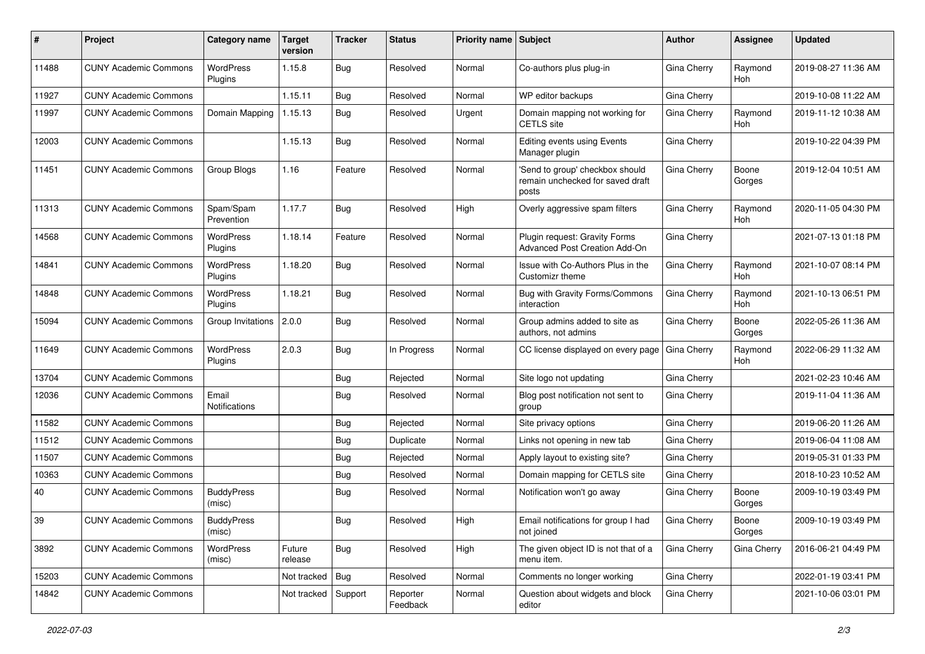| #     | Project                      | <b>Category name</b>        | <b>Target</b><br>version | <b>Tracker</b> | <b>Status</b>        | <b>Priority name Subject</b> |                                                                              | Author             | Assignee        | <b>Updated</b>      |
|-------|------------------------------|-----------------------------|--------------------------|----------------|----------------------|------------------------------|------------------------------------------------------------------------------|--------------------|-----------------|---------------------|
| 11488 | <b>CUNY Academic Commons</b> | WordPress<br>Plugins        | 1.15.8                   | Bug            | Resolved             | Normal                       | Co-authors plus plug-in                                                      | Gina Cherry        | Raymond<br>Hoh  | 2019-08-27 11:36 AM |
| 11927 | <b>CUNY Academic Commons</b> |                             | 1.15.11                  | Bug            | Resolved             | Normal                       | WP editor backups                                                            | Gina Cherry        |                 | 2019-10-08 11:22 AM |
| 11997 | <b>CUNY Academic Commons</b> | Domain Mapping              | 1.15.13                  | Bug            | Resolved             | Urgent                       | Domain mapping not working for<br><b>CETLS</b> site                          | Gina Cherry        | Raymond<br>Hoh  | 2019-11-12 10:38 AM |
| 12003 | <b>CUNY Academic Commons</b> |                             | 1.15.13                  | <b>Bug</b>     | Resolved             | Normal                       | Editing events using Events<br>Manager plugin                                | Gina Cherry        |                 | 2019-10-22 04:39 PM |
| 11451 | <b>CUNY Academic Commons</b> | Group Blogs                 | 1.16                     | Feature        | Resolved             | Normal                       | 'Send to group' checkbox should<br>remain unchecked for saved draft<br>posts | Gina Cherry        | Boone<br>Gorges | 2019-12-04 10:51 AM |
| 11313 | <b>CUNY Academic Commons</b> | Spam/Spam<br>Prevention     | 1.17.7                   | Bug            | Resolved             | High                         | Overly aggressive spam filters                                               | Gina Cherry        | Raymond<br>Hoh  | 2020-11-05 04:30 PM |
| 14568 | <b>CUNY Academic Commons</b> | <b>WordPress</b><br>Plugins | 1.18.14                  | Feature        | Resolved             | Normal                       | Plugin request: Gravity Forms<br>Advanced Post Creation Add-On               | Gina Cherry        |                 | 2021-07-13 01:18 PM |
| 14841 | <b>CUNY Academic Commons</b> | <b>WordPress</b><br>Plugins | 1.18.20                  | Bug            | Resolved             | Normal                       | Issue with Co-Authors Plus in the<br>Customizr theme                         | Gina Cherry        | Raymond<br>Hoh  | 2021-10-07 08:14 PM |
| 14848 | <b>CUNY Academic Commons</b> | <b>WordPress</b><br>Plugins | 1.18.21                  | <b>Bug</b>     | Resolved             | Normal                       | Bug with Gravity Forms/Commons<br>interaction                                | Gina Cherry        | Raymond<br>Hoh  | 2021-10-13 06:51 PM |
| 15094 | <b>CUNY Academic Commons</b> | Group Invitations           | 2.0.0                    | Bug            | Resolved             | Normal                       | Group admins added to site as<br>authors, not admins                         | Gina Cherry        | Boone<br>Gorges | 2022-05-26 11:36 AM |
| 11649 | <b>CUNY Academic Commons</b> | WordPress<br>Plugins        | 2.0.3                    | Bug            | In Progress          | Normal                       | CC license displayed on every page                                           | Gina Cherry        | Raymond<br>Hoh  | 2022-06-29 11:32 AM |
| 13704 | <b>CUNY Academic Commons</b> |                             |                          | Bug            | Rejected             | Normal                       | Site logo not updating                                                       | Gina Cherry        |                 | 2021-02-23 10:46 AM |
| 12036 | <b>CUNY Academic Commons</b> | Email<br>Notifications      |                          | Bug            | Resolved             | Normal                       | Blog post notification not sent to<br>group                                  | Gina Cherry        |                 | 2019-11-04 11:36 AM |
| 11582 | <b>CUNY Academic Commons</b> |                             |                          | Bug            | Rejected             | Normal                       | Site privacy options                                                         | Gina Cherry        |                 | 2019-06-20 11:26 AM |
| 11512 | <b>CUNY Academic Commons</b> |                             |                          | <b>Bug</b>     | Duplicate            | Normal                       | Links not opening in new tab                                                 | Gina Cherry        |                 | 2019-06-04 11:08 AM |
| 11507 | <b>CUNY Academic Commons</b> |                             |                          | Bug            | Rejected             | Normal                       | Apply layout to existing site?                                               | Gina Cherry        |                 | 2019-05-31 01:33 PM |
| 10363 | <b>CUNY Academic Commons</b> |                             |                          | Bug            | Resolved             | Normal                       | Domain mapping for CETLS site                                                | Gina Cherry        |                 | 2018-10-23 10:52 AM |
| 40    | <b>CUNY Academic Commons</b> | <b>BuddyPress</b><br>(misc) |                          | Bug            | Resolved             | Normal                       | Notification won't go away                                                   | Gina Cherry        | Boone<br>Gorges | 2009-10-19 03:49 PM |
| 39    | <b>CUNY Academic Commons</b> | <b>BuddyPress</b><br>(misc) |                          | <b>Bug</b>     | Resolved             | High                         | Email notifications for group I had<br>not joined                            | Gina Cherry        | Boone<br>Gorges | 2009-10-19 03:49 PM |
| 3892  | <b>CUNY Academic Commons</b> | WordPress<br>(misc)         | Future<br>release        | Bug            | Resolved             | High                         | The given object ID is not that of a<br>menu item.                           | <b>Gina Cherry</b> | Gina Cherry     | 2016-06-21 04:49 PM |
| 15203 | <b>CUNY Academic Commons</b> |                             | Not tracked              | Bug            | Resolved             | Normal                       | Comments no longer working                                                   | Gina Cherry        |                 | 2022-01-19 03:41 PM |
| 14842 | <b>CUNY Academic Commons</b> |                             | Not tracked              | Support        | Reporter<br>Feedback | Normal                       | Question about widgets and block<br>editor                                   | Gina Cherry        |                 | 2021-10-06 03:01 PM |